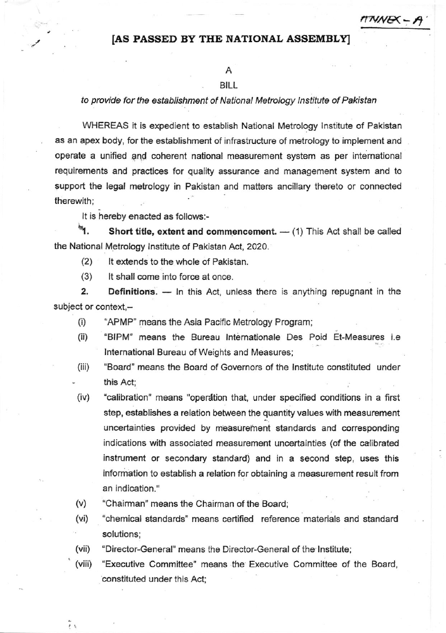## $\pi$ NNE $\leftarrow$  )

## [AS PASSED BY THE NATIONAL ASSEMBLY]

## A

## **BILL**

to provide for the establishment of National Metrology Institute of Pakistan

WHEREAS it is expedient to establish National Metrology Institute of Pakistan as an apex body, for the establishment of infrastructure of metrology to implement and operate a unified and coherent national measurement system as per international requirements and practices for quality assurance and management system and to support the legal metrology in Pakistan and matters ancillary thereto or connected therewith;

It is  $\mathbf{h}$ enacted as follows:-

 $\mathbf{f}_1$ . Short title, extent and commencement. — (1) This Act shall be called<br> the National Metrology lnstitute of Pakistan Act, 2020.

(2\ lt extends to the whole of Paklstan.

(3) It shall come into force at once.

2. Definitions. - In this Act, unless there is anything repugnant in the subject or context,-

- (i) "APMP" means the Asia Pacific Metrology Program;
- (ii) "BIPM" means the Bureau Internationale Des Poid Et-Measures i.e International Bureau of Weights and Measures;
- (iii) 'Board" means the Board of Governors of the lnstitute constituled under . this Act;
- (iv) "calibration" means "operation that, under specified conditions in a first step, establishes a relation between the quantity values with measurement uncertainties provided by measurement standards and corresponding indications with associated measurement uncertainties (of the calibrated instrument or secondary standard) and in a second step, uses this information to establish a relation for obtaining a measurement result from an indication."
- (v) "Chairman" means the Chairman of the Board;
- (vi) "chemical standards" means certiried reference materials and standard solutions;
- (vii) "Director-General" means the Director-General of the lnstitute;
- (viii) "Executive Committee" means the Executive Committee of the Board, constituted under this Act:

 $\tilde{i}$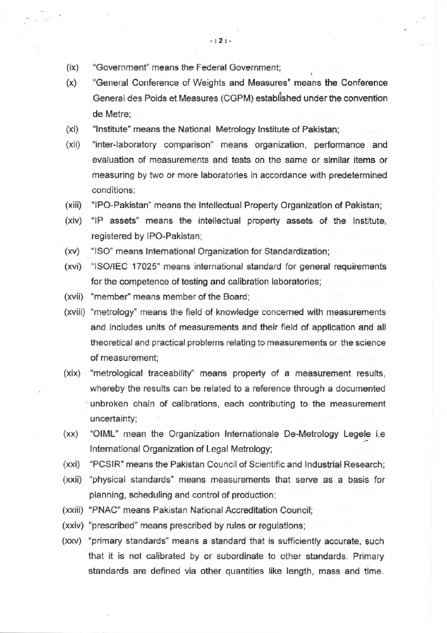- $(ix)$ "Government" means the Federal Government;
- (x) "General Conference of Weights and Measures" means the Conferenc€ General des Poids et Measures (CGPM) established under the convention de Metre;
- (xi) "Institute" means the National Metrology Institute of Pakistan;
- (xii) "inter-laboratory comparison' means organization, performance and evaluation of measurements and tests on the same or similar items or measuring by two or more laboratories in accordance with predetermined conditions;
- $(xiii)$ "lPo-Pakistan" means the lntellectual Property Organization of Pakistan;
- (xiv) "IP assets" means the intellectual property assets of the Institute, registered by IPo-Pakistan:
- $(xv)$ "lSO" means lntemational Organization for Standardization;
- (xvi) "lSOllEC 17025' means international standard for general requirements for the competence of testing and calibration laboratories;
- (xvii) 'member' means member of the Boardi
- (xviii) 'metrology' means the field of knowledge concemed with measurements and includes units of measurements and their field of application and all theoretical and practical problems relating to measurements or the science of measurement:
- (xix) "metrological traceability" means property of a measurement results, whereby the results can be related to a reference through a documented unbroken chain of calibrations, each contributing to the measurement uncertainty;
- $(xx)$ "OIML" mean the Organization lntemationale De-Metrology Legele i.e lnternational Organization of Legal Metrology;
- (xxi) "PCSlR" means the Pakistan Council of Scientific and lndustrial Research;
- (xxii) "physical standards" means measurements that serve as a basis for planning, scheduling and control of production;
- (xxiii) "PNAC" means Pakistan National Accreditation Council;
- (xxiv) "prescribed" means prescribed by rules or regulations;
- (xxv) 'primary standards" means a standard that is sufficiently accurate, such that it is not calibrated by or subordinate to other standards. Primary standards are defined via other quantities like length, mass and time.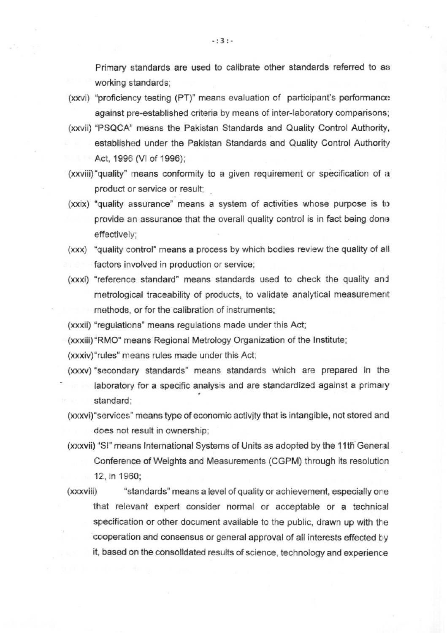Primary standards are used to calibrate other standards referred to as working standards;

- (xxvi) "proficiency testing (PT)" means evaluation of participant's performance against pre-established criteria by means of inter-laboratory comparisons;
- (xxvii) "PSQCA" means the Pakistan Standards and Quality Control Authority, established under the Pakistan Standards and Quality Control Authority Act, 1996 (VI of 1996);
- (xxviii) "quality' means conformity to a given requirement or specification of a product or service or result;
- $(xxix)$  "quality assurance" means a system of activities whose purpose is to provide an assurance that the overall quality control is in fact being done effectively;
- (xxx) "quality control' means a process by which bodies review the quality of all factors involved in production or service;
- (xxxi) "reference standard" means standards used to check the quality and metrological traceability of products, to validate analytical measurement methods, or for the calibration of instruments:

(xxxii) "regulations" means regulations made under this Act;

(xxxiii) "RMO" means Regional Metrology Organization of the Institute;

(xxxiv)'rules" means rules made under this Act;

- (xxxv) "secondary standards" means standards which are prepared in the laboratory for a specific analysis and are standardized against a primary standard;
- (xxxvi) "services" means type of economic activity that is intangible, not stored and does not result in ownership;
- (xxxvii) "SI" means International Systems of Units as adopted by the 11th General Conference of Weights and Measurements (CGPM) through its resoluticn 12, in 1960;
- (xxxviii) "standards" means a level of quality or achievement, especially one that relevant expert consider normal or acceptable or a technical specification or other document available to the public, drawn up with the cooperation and consensus or general approval of all interests effected by it, based on the consolidated results of science, technology and experience